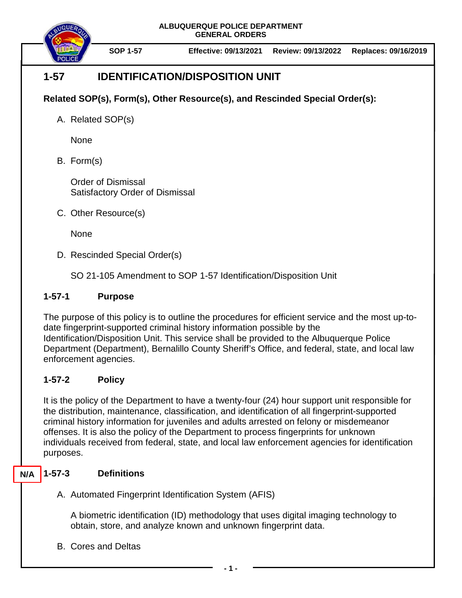

**SOP 1-57 Effective: 09/13/2021 Review: 09/13/2022 Replaces: 09/16/2019**

# **1-57 IDENTIFICATION/DISPOSITION UNIT**

## **Related SOP(s), Form(s), Other Resource(s), and Rescinded Special Order(s):**

A. Related SOP(s)

None

B. Form(s)

Order of Dismissal Satisfactory Order of Dismissal

C. Other Resource(s)

None

D. Rescinded Special Order(s)

SO 21-105 Amendment to SOP 1-57 Identification/Disposition Unit

### **1-57-1 Purpose**

The purpose of this policy is to outline the procedures for efficient service and the most up-todate fingerprint-supported criminal history information possible by the Identification/Disposition Unit. This service shall be provided to the Albuquerque Police Department (Department), Bernalillo County Sheriff's Office, and federal, state, and local law enforcement agencies.

## **1-57-2 Policy**

It is the policy of the Department to have a twenty-four (24) hour support unit responsible for the distribution, maintenance, classification, and identification of all fingerprint-supported criminal history information for juveniles and adults arrested on felony or misdemeanor offenses. It is also the policy of the Department to process fingerprints for unknown individuals received from federal, state, and local law enforcement agencies for identification purposes.

#### **1-57-3 Definitions N/A**

A. Automated Fingerprint Identification System (AFIS)

A biometric identification (ID) methodology that uses digital imaging technology to obtain, store, and analyze known and unknown fingerprint data.

B. Cores and Deltas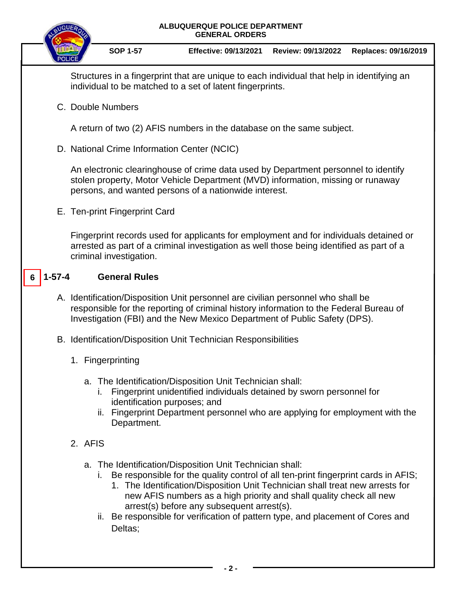

**SOP 1-57 Effective: 09/13/2021 Review: 09/13/2022 Replaces: 09/16/2019**

Structures in a fingerprint that are unique to each individual that help in identifying an individual to be matched to a set of latent fingerprints.

C. Double Numbers

A return of two (2) AFIS numbers in the database on the same subject.

D. National Crime Information Center (NCIC)

An electronic clearinghouse of crime data used by Department personnel to identify stolen property, Motor Vehicle Department (MVD) information, missing or runaway persons, and wanted persons of a nationwide interest.

E. Ten-print Fingerprint Card

Fingerprint records used for applicants for employment and for individuals detained or arrested as part of a criminal investigation as well those being identified as part of a criminal investigation.

#### **1-57-4 General Rules 6**

- A. Identification/Disposition Unit personnel are civilian personnel who shall be responsible for the reporting of criminal history information to the Federal Bureau of Investigation (FBI) and the New Mexico Department of Public Safety (DPS).
- B. Identification/Disposition Unit Technician Responsibilities
	- 1. Fingerprinting
		- a. The Identification/Disposition Unit Technician shall:
			- i. Fingerprint unidentified individuals detained by sworn personnel for identification purposes; and
			- ii. Fingerprint Department personnel who are applying for employment with the Department.
	- 2. AFIS
		- a. The Identification/Disposition Unit Technician shall:
			- i. Be responsible for the quality control of all ten-print fingerprint cards in AFIS;
				- 1. The Identification/Disposition Unit Technician shall treat new arrests for new AFIS numbers as a high priority and shall quality check all new arrest(s) before any subsequent arrest(s).
			- ii. Be responsible for verification of pattern type, and placement of Cores and Deltas;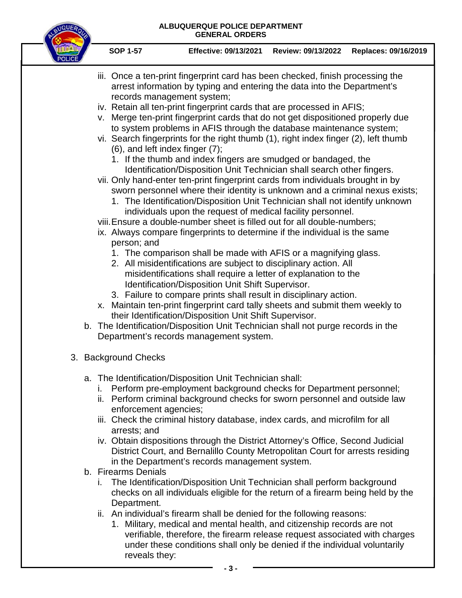

- iii. Once a ten-print fingerprint card has been checked, finish processing the arrest information by typing and entering the data into the Department's records management system;
- iv. Retain all ten-print fingerprint cards that are processed in AFIS;
- v. Merge ten-print fingerprint cards that do not get dispositioned properly due to system problems in AFIS through the database maintenance system;
- vi. Search fingerprints for the right thumb (1), right index finger (2), left thumb (6), and left index finger (7);
	- 1. If the thumb and index fingers are smudged or bandaged, the Identification/Disposition Unit Technician shall search other fingers.
- vii. Only hand-enter ten-print fingerprint cards from individuals brought in by sworn personnel where their identity is unknown and a criminal nexus exists;
	- 1. The Identification/Disposition Unit Technician shall not identify unknown individuals upon the request of medical facility personnel.
- viii.Ensure a double-number sheet is filled out for all double-numbers;
- ix. Always compare fingerprints to determine if the individual is the same person; and
	- 1. The comparison shall be made with AFIS or a magnifying glass.
	- 2. All misidentifications are subject to disciplinary action. All misidentifications shall require a letter of explanation to the Identification/Disposition Unit Shift Supervisor.
	- 3. Failure to compare prints shall result in disciplinary action.
- x. Maintain ten-print fingerprint card tally sheets and submit them weekly to their Identification/Disposition Unit Shift Supervisor.
- b. The Identification/Disposition Unit Technician shall not purge records in the Department's records management system.
- 3. Background Checks
	- a. The Identification/Disposition Unit Technician shall:
		- i. Perform pre-employment background checks for Department personnel;
		- ii. Perform criminal background checks for sworn personnel and outside law enforcement agencies;
		- iii. Check the criminal history database, index cards, and microfilm for all arrests; and
		- iv. Obtain dispositions through the District Attorney's Office, Second Judicial District Court, and Bernalillo County Metropolitan Court for arrests residing in the Department's records management system.
	- b. Firearms Denials
		- i. The Identification/Disposition Unit Technician shall perform background checks on all individuals eligible for the return of a firearm being held by the Department.
		- ii. An individual's firearm shall be denied for the following reasons:
			- 1. Military, medical and mental health, and citizenship records are not verifiable, therefore, the firearm release request associated with charges under these conditions shall only be denied if the individual voluntarily reveals they: